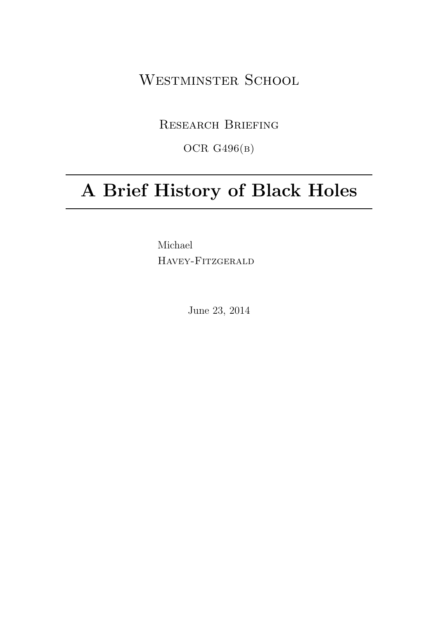WESTMINSTER SCHOOL

Research Briefing

OCR G496(b)

# A Brief History of Black Holes

Michael Havey-Fitzgerald

June 23, 2014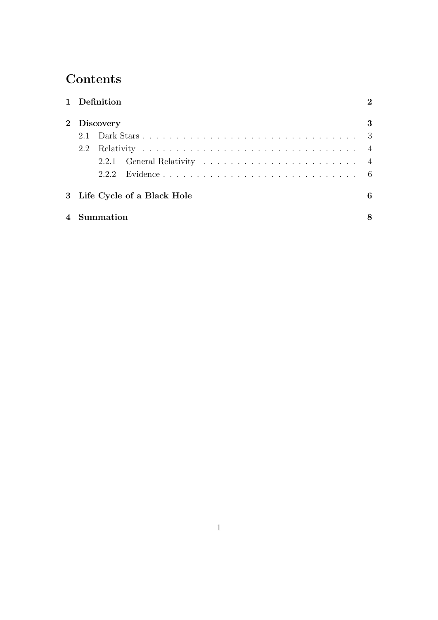## **Contents**

|                |                              | 1 Definition |  | $\mathcal{D}_{\mathcal{L}}$ |
|----------------|------------------------------|--------------|--|-----------------------------|
|                | 2 Discovery                  |              |  | 3                           |
|                | 2.1                          |              |  |                             |
|                | 2.2                          |              |  |                             |
|                |                              |              |  |                             |
|                |                              |              |  |                             |
|                | 3 Life Cycle of a Black Hole |              |  | 6                           |
| $\overline{4}$ | Summation                    |              |  |                             |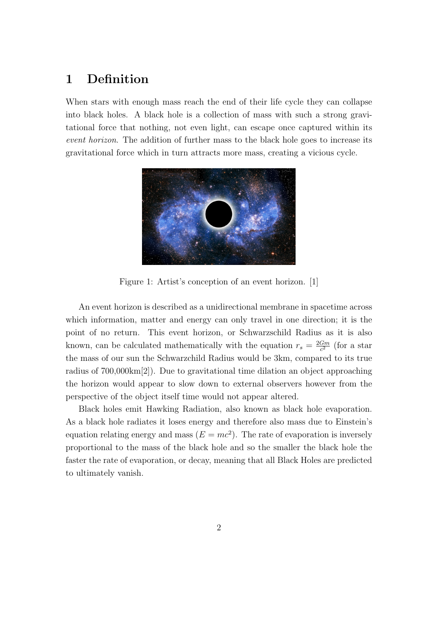## 1 Definition

When stars with enough mass reach the end of their life cycle they can collapse into black holes. A black hole is a collection of mass with such a strong gravitational force that nothing, not even light, can escape once captured within its event horizon. The addition of further mass to the black hole goes to increase its gravitational force which in turn attracts more mass, creating a vicious cycle.



Figure 1: Artist's conception of an event horizon. [1]

An event horizon is described as a unidirectional membrane in spacetime across which information, matter and energy can only travel in one direction; it is the point of no return. This event horizon, or Schwarzschild Radius as it is also known, can be calculated mathematically with the equation  $r_s = \frac{2Gm}{c^2}$  $\frac{Gm}{c^2}$  (for a star the mass of our sun the Schwarzchild Radius would be 3km, compared to its true radius of 700,000km[2]). Due to gravitational time dilation an object approaching the horizon would appear to slow down to external observers however from the perspective of the object itself time would not appear altered.

Black holes emit Hawking Radiation, also known as black hole evaporation. As a black hole radiates it loses energy and therefore also mass due to Einstein's equation relating energy and mass  $(E = mc^2)$ . The rate of evaporation is inversely proportional to the mass of the black hole and so the smaller the black hole the faster the rate of evaporation, or decay, meaning that all Black Holes are predicted to ultimately vanish.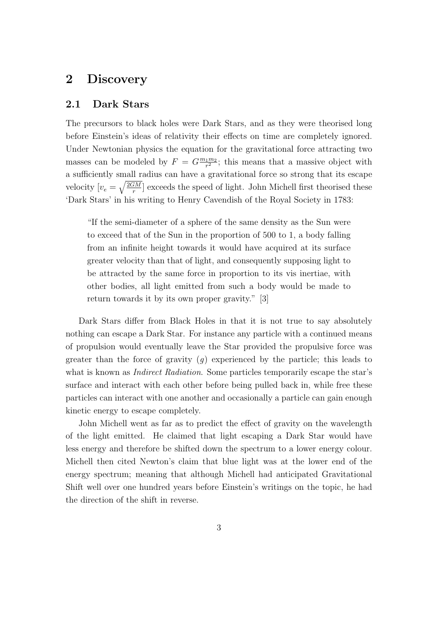## 2 Discovery

#### 2.1 Dark Stars

The precursors to black holes were Dark Stars, and as they were theorised long before Einstein's ideas of relativity their effects on time are completely ignored. Under Newtonian physics the equation for the gravitational force attracting two masses can be modeled by  $F = G \frac{m_1 m_2}{r^2}$  $\frac{1}{r^2}$ ; this means that a massive object with a sufficiently small radius can have a gravitational force so strong that its escape velocity  $[v_e = \sqrt{\frac{2GM}{r}}]$  $\frac{dM}{dr}$  exceeds the speed of light. John Michell first theorised these 'Dark Stars' in his writing to Henry Cavendish of the Royal Society in 1783:

"If the semi-diameter of a sphere of the same density as the Sun were to exceed that of the Sun in the proportion of 500 to 1, a body falling from an infinite height towards it would have acquired at its surface greater velocity than that of light, and consequently supposing light to be attracted by the same force in proportion to its vis inertiae, with other bodies, all light emitted from such a body would be made to return towards it by its own proper gravity." [3]

Dark Stars differ from Black Holes in that it is not true to say absolutely nothing can escape a Dark Star. For instance any particle with a continued means of propulsion would eventually leave the Star provided the propulsive force was greater than the force of gravity  $(q)$  experienced by the particle; this leads to what is known as *Indirect Radiation*. Some particles temporarily escape the star's surface and interact with each other before being pulled back in, while free these particles can interact with one another and occasionally a particle can gain enough kinetic energy to escape completely.

John Michell went as far as to predict the effect of gravity on the wavelength of the light emitted. He claimed that light escaping a Dark Star would have less energy and therefore be shifted down the spectrum to a lower energy colour. Michell then cited Newton's claim that blue light was at the lower end of the energy spectrum; meaning that although Michell had anticipated Gravitational Shift well over one hundred years before Einstein's writings on the topic, he had the direction of the shift in reverse.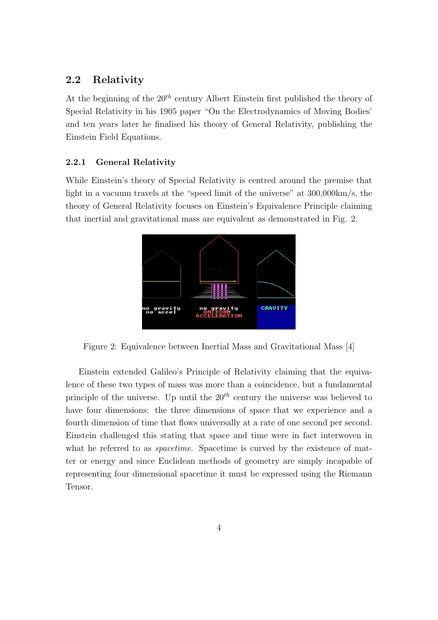#### 2.2 Relativity

At the beginning of the  $20^{th}$  century Albert Einstein first published the theory of Special Relativity in his 1905 paper "On the Electrodynamics of Moving Bodies' and ten years later he finalised his theory of General Relativity, publishing the Einstein Field Equations.

#### 2.2.1 General Relativity

While Einstein's theory of Special Relativity is centred around the premise that light in a vacuum travels at the "speed limit of the universe" at 300,000km/s, the theory of General Relativity focuses on Einstein's Equivalence Principle claiming that inertial and gravitational mass are equivalent as demonstrated in Fig. 2.



Figure 2: Equivalence between Inertial Mass and Gravitational Mass [4]

Einstein extended Galileo's Principle of Relativity claiming that the equivalence of these two types of mass was more than a coincidence, but a fundamental principle of the universe. Up until the  $20<sup>th</sup>$  century the universe was believed to have four dimensions: the three dimensions of space that we experience and a fourth dimension of time that flows universally at a rate of one second per second. Einstein challenged this stating that space and time were in fact interwoven in what he referred to as *spacetime*. Spacetime is curved by the existence of matter or energy and since Euclidean methods of geometry are simply incapable of representing four dimensional spacetime it must be expressed using the Riemann Tensor.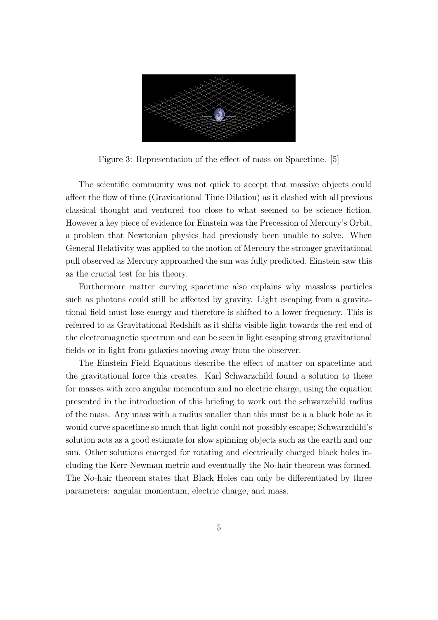

Figure 3: Representation of the effect of mass on Spacetime. [5]

The scientific community was not quick to accept that massive objects could affect the flow of time (Gravitational Time Dilation) as it clashed with all previous classical thought and ventured too close to what seemed to be science fiction. However a key piece of evidence for Einstein was the Precession of Mercury's Orbit, a problem that Newtonian physics had previously been unable to solve. When General Relativity was applied to the motion of Mercury the stronger gravitational pull observed as Mercury approached the sun was fully predicted, Einstein saw this as the crucial test for his theory.

Furthermore matter curving spacetime also explains why massless particles such as photons could still be affected by gravity. Light escaping from a gravitational field must lose energy and therefore is shifted to a lower frequency. This is referred to as Gravitational Redshift as it shifts visible light towards the red end of the electromagnetic spectrum and can be seen in light escaping strong gravitational fields or in light from galaxies moving away from the observer.

The Einstein Field Equations describe the effect of matter on spacetime and the gravitational force this creates. Karl Schwarzchild found a solution to these for masses with zero angular momentum and no electric charge, using the equation presented in the introduction of this briefing to work out the schwarzchild radius of the mass. Any mass with a radius smaller than this must be a a black hole as it would curve spacetime so much that light could not possibly escape; Schwarzchild's solution acts as a good estimate for slow spinning objects such as the earth and our sun. Other solutions emerged for rotating and electrically charged black holes including the Kerr-Newman metric and eventually the No-hair theorem was formed. The No-hair theorem states that Black Holes can only be differentiated by three parameters: angular momentum, electric charge, and mass.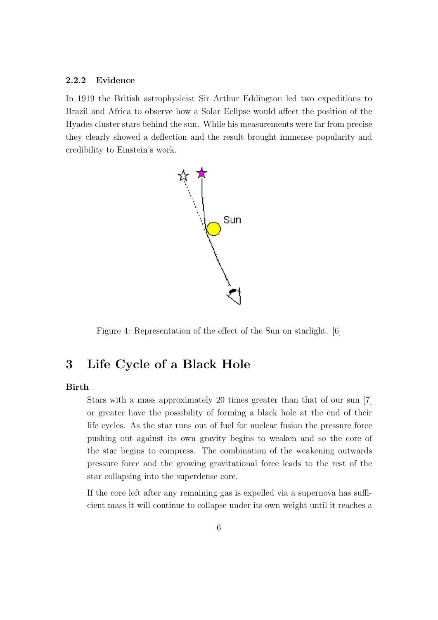#### 2.2.2 Evidence

In 1919 the British astrophysicist Sir Arthur Eddington led two expeditions to Brazil and Africa to observe how a Solar Eclipse would affect the position of the Hyades cluster stars behind the sun. While his measurements were far from precise they clearly showed a deflection and the result brought immense popularity and credibility to Einstein's work.



Figure 4: Representation of the effect of the Sun on starlight. [6]

## 3 Life Cycle of a Black Hole

#### Birth

Stars with a mass approximately 20 times greater than that of our sun [7] or greater have the possibility of forming a black hole at the end of their life cycles. As the star runs out of fuel for nuclear fusion the pressure force pushing out against its own gravity begins to weaken and so the core of the star begins to compress. The combination of the weakening outwards pressure force and the growing gravitational force leads to the rest of the star collapsing into the superdense core.

If the core left after any remaining gas is expelled via a supernova has sufficient mass it will continue to collapse under its own weight until it reaches a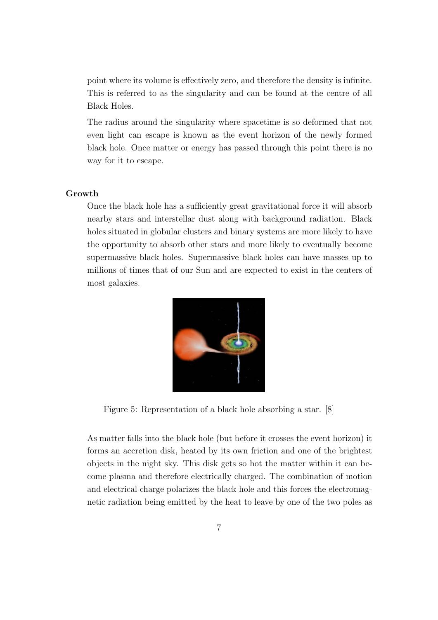point where its volume is effectively zero, and therefore the density is infinite. This is referred to as the singularity and can be found at the centre of all Black Holes.

The radius around the singularity where spacetime is so deformed that not even light can escape is known as the event horizon of the newly formed black hole. Once matter or energy has passed through this point there is no way for it to escape.

#### Growth

Once the black hole has a sufficiently great gravitational force it will absorb nearby stars and interstellar dust along with background radiation. Black holes situated in globular clusters and binary systems are more likely to have the opportunity to absorb other stars and more likely to eventually become supermassive black holes. Supermassive black holes can have masses up to millions of times that of our Sun and are expected to exist in the centers of most galaxies.



Figure 5: Representation of a black hole absorbing a star. [8]

As matter falls into the black hole (but before it crosses the event horizon) it forms an accretion disk, heated by its own friction and one of the brightest objects in the night sky. This disk gets so hot the matter within it can become plasma and therefore electrically charged. The combination of motion and electrical charge polarizes the black hole and this forces the electromagnetic radiation being emitted by the heat to leave by one of the two poles as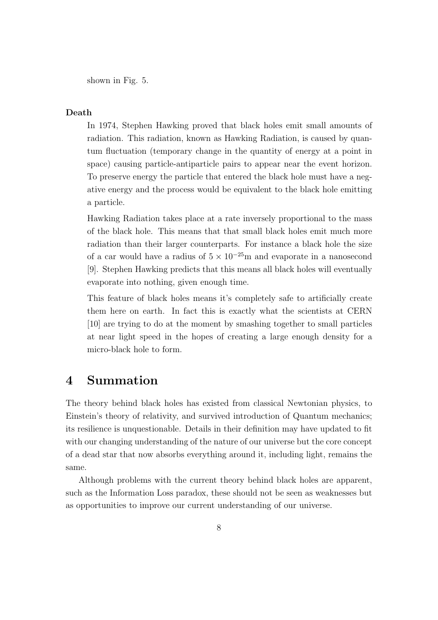shown in Fig. 5.

#### Death

In 1974, Stephen Hawking proved that black holes emit small amounts of radiation. This radiation, known as Hawking Radiation, is caused by quantum fluctuation (temporary change in the quantity of energy at a point in space) causing particle-antiparticle pairs to appear near the event horizon. To preserve energy the particle that entered the black hole must have a negative energy and the process would be equivalent to the black hole emitting a particle.

Hawking Radiation takes place at a rate inversely proportional to the mass of the black hole. This means that that small black holes emit much more radiation than their larger counterparts. For instance a black hole the size of a car would have a radius of  $5 \times 10^{-25}$ m and evaporate in a nanosecond [9]. Stephen Hawking predicts that this means all black holes will eventually evaporate into nothing, given enough time.

This feature of black holes means it's completely safe to artificially create them here on earth. In fact this is exactly what the scientists at CERN [10] are trying to do at the moment by smashing together to small particles at near light speed in the hopes of creating a large enough density for a micro-black hole to form.

### 4 Summation

The theory behind black holes has existed from classical Newtonian physics, to Einstein's theory of relativity, and survived introduction of Quantum mechanics; its resilience is unquestionable. Details in their definition may have updated to fit with our changing understanding of the nature of our universe but the core concept of a dead star that now absorbs everything around it, including light, remains the same.

Although problems with the current theory behind black holes are apparent, such as the Information Loss paradox, these should not be seen as weaknesses but as opportunities to improve our current understanding of our universe.